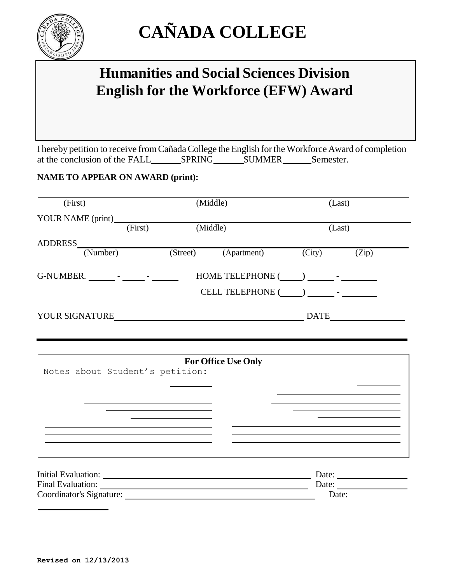

# **CAÑADA COLLEGE**

## **Humanities and Social Sciences Division English for the Workforce (EFW) Award**

I hereby petition to receive from Cañada College the English for the Workforce Award of completion at the conclusion of the FALL SPRING SUMMER Semester.

### **NAME TO APPEAR ON AWARD (print):**

| (First)                                                                                                                                                                                                                                                                                                                                            | (Middle) |                      | (Last)                  |                                                                                                |                             |
|----------------------------------------------------------------------------------------------------------------------------------------------------------------------------------------------------------------------------------------------------------------------------------------------------------------------------------------------------|----------|----------------------|-------------------------|------------------------------------------------------------------------------------------------|-----------------------------|
| YOUR NAME (print)                                                                                                                                                                                                                                                                                                                                  |          |                      |                         |                                                                                                |                             |
|                                                                                                                                                                                                                                                                                                                                                    | (First)  | (Middle)             |                         | (Last)                                                                                         |                             |
| <b>ADDRESS</b>                                                                                                                                                                                                                                                                                                                                     |          |                      |                         |                                                                                                |                             |
| (Number)                                                                                                                                                                                                                                                                                                                                           |          | (Street)             | (Apartment)             | $\overline{(City)}$                                                                            | $\overline{(\mathrm{Zip})}$ |
| $G-NUMBER.$ $\qquad \qquad$ $\qquad \qquad$ $\qquad$ $\qquad \qquad$ $\qquad$ $\qquad$ $\qquad$ $\qquad$ $\qquad$ $\qquad$ $\qquad$ $\qquad$ $\qquad$ $\qquad$ $\qquad$ $\qquad$ $\qquad$ $\qquad$ $\qquad$ $\qquad$ $\qquad$ $\qquad$ $\qquad$ $\qquad$ $\qquad$ $\qquad$ $\qquad$ $\qquad$ $\qquad$ $\qquad$ $\qquad$ $\qquad$ $\qquad$ $\qquad$ |          | HOME TELEPHONE ( ) - |                         |                                                                                                |                             |
|                                                                                                                                                                                                                                                                                                                                                    |          |                      | <b>CELL TELEPHONE (</b> | $\left( \begin{array}{ccc} \cdot & \cdot & \cdot \\ \cdot & \cdot & \cdot \end{array} \right)$ |                             |
| YOUR SIGNATURE                                                                                                                                                                                                                                                                                                                                     |          |                      |                         | <b>DATE</b>                                                                                    |                             |

| <b>For Office Use Only</b>      |       |  |  |  |  |  |
|---------------------------------|-------|--|--|--|--|--|
| Notes about Student's petition: |       |  |  |  |  |  |
|                                 |       |  |  |  |  |  |
|                                 |       |  |  |  |  |  |
|                                 |       |  |  |  |  |  |
|                                 |       |  |  |  |  |  |
|                                 |       |  |  |  |  |  |
|                                 |       |  |  |  |  |  |
|                                 |       |  |  |  |  |  |
|                                 |       |  |  |  |  |  |
| Initial Evaluation:             | Date: |  |  |  |  |  |
| Final Evaluation:               | Date: |  |  |  |  |  |
| Coordinator's Signature:        | Date: |  |  |  |  |  |